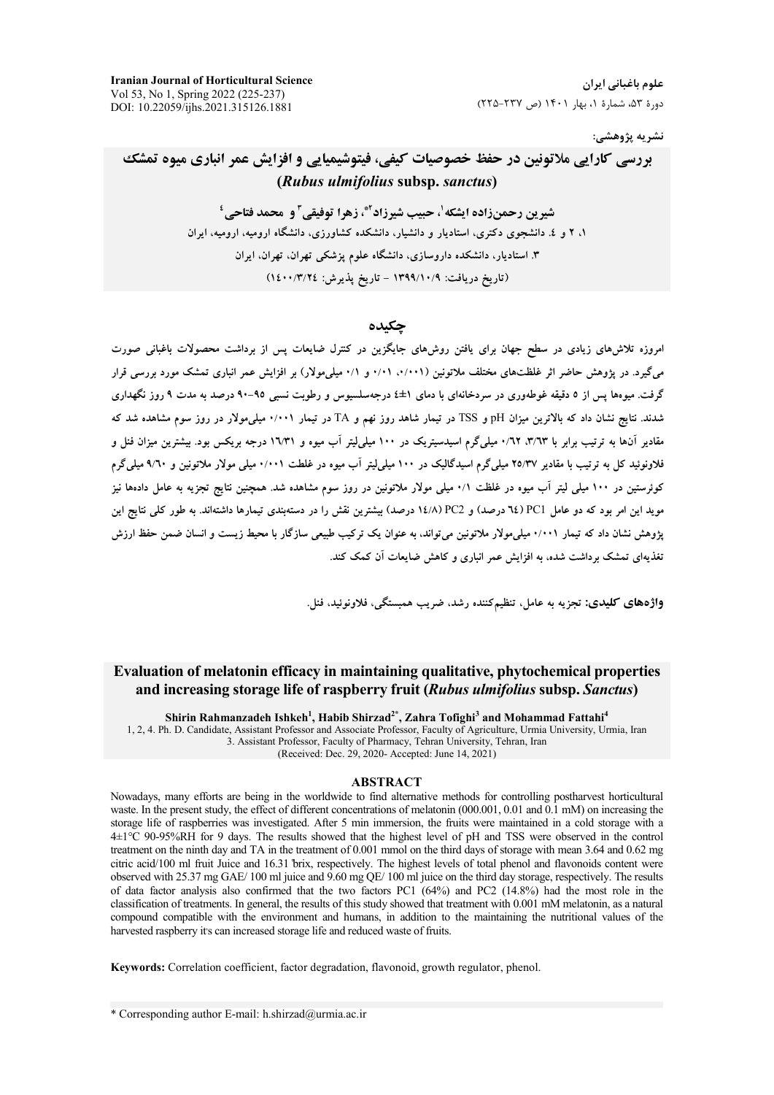**Iranian Journal of Horticultural Science** Vol 53, No 1, Spring 2022 (225-237) DOI: 10.22059/ijhs.2021.315126.1881

علوم باغیانی ایران دورهٔ ۵۳، شمارهٔ ۱، بهار ۱۴۰۱ (ص ۲۳۷-۲۲۵)

### نشريه پژوهشي:

# بررسی کارایی ملاتونین در حفظ خصوصیات کیفی، فیتوشیمیایی و افزایش عمر انباری میوه تمشک (Rubus ulmifolius subsp. sanctus)

شيرين رحمنزاده ايشكه ل حبيب شيرزاد َّة، زهرا توفيقي ّ و محمد فتاحي ' ۱، ۲ و ٤. دانشجوی دکتری، استادیار و دانشیار، دانشکده کشاورزی، دانشگاه ارومیه، ارومیه، ایران ۳. استادیار، دانشکده داروسازی، دانشگاه علوم پزشکی تهران، تهران، ایران (تاریخ دریافت: ۱۳۹۹/۱۰/۹ - تاریخ پذیرش: ۱٤٠٠/٣/٢٤)

## حكىدە

امروزه تلاشهای زیادی در سطح جهان برای یافتن روشهای جایگزین در کنترل ضایعات پس از برداشت محصولات باغبانی صورت میگیرد. در پژوهش حاضر اثر غلظتهای مختلف ملاتونین (۰/۰۰۱، ۰/۰۱ و ۰/۱ میلیمولار) بر افزایش عمر انباری تمشک مورد بررسی قرار گرفت. میوهها پس از ۵ دقیقه غوطهوری در سردخانهای با دمای ۱±٤ درجهسلسیوس و رطوبت نسبی ۹۵-۹۰ درصد به مدت ۹ روز نگهداری شدند. نتایج نشان داد که بالاترین میزان pH و TSS در تیمار شاهد روز نهم و TA در تیمار ۰/۰۰۱ میلی،مولار در روز سوم مشاهده شد که .<br>مقادیر آنها به ترتیب برابر با ۰/٦٣ ، ۲/۳ میلی گرم اسیدسیتریک در ۱۰۰ میلی(یتر آب میوه و ۱٦/۳۱ درجه بریکس بود. بیشترین میزان فنا<sub>ر</sub> و فلاونوئید کل به ترتیب با مقادیر ۲٥/۳۷ میلم گرم اسیدگالیک در ۱۰۰ میلم لیتر آب میوه در غلطت ۰/۰۰۱ میلم مولار ملاتونین و ۹/٦۰ میلم گرم کوئرستین در ۱۰۰ میلی لیتر آب میوه در غلظت ۰/۱ میلی مولار ملاتونین در روز سوم مشاهده شد. همچنین نتایج تجزیه به عامل دادهها نیز مويد اين امر بود كه دو عامل PCI (٦٤ درصد) و N٤/٨ PC2 درصد) بيشترين نقش را در دستهيندي تيمارها داشتهاند. به طور كلي نتايج اين یژوهش نشان داد که تیمار ۰/۰۰۱ میلی0مولار ملاتونین می¤واند، به عنوان یک ترکیب طبیعی سازگار با محیط زیست و انسان ضمن حفظ ارزش تغذیهای تمشک برداشت شده، به افزایش عمر انباری و کاهش ضایعات آن کمک کند.

واژههای کلیدی: تجزیه به عامل، تنظیمکننده رشد، ضریب همبستگی، فلاونوئید، فنل.

### Evaluation of melatonin efficacy in maintaining qualitative, phytochemical properties and increasing storage life of raspberry fruit (Rubus ulmifolius subsp. Sanctus)

Shirin Rahmanzadeh Ishkeh<sup>1</sup>, Habib Shirzad<sup>2\*</sup>, Zahra Tofighi<sup>3</sup> and Mohammad Fattahi<sup>4</sup> 1, 2, 4. Ph. D. Candidate, Assistant Professor and Associate Professor, Faculty of Agriculture, Urmia University, Urmia, Iran 3. Assistant Professor, Faculty of Pharmacy, Tehran University, Tehran, Iran (Received: Dec. 29, 2020- Accepted: June 14, 2021)

### **ABSTRACT**

Nowadays, many efforts are being in the worldwide to find alternative methods for controlling postharvest horticultural waste. In the present study, the effect of different concentrations of melatonin (000.001, 0.01 and 0.1 mM) on increasing the storage life of raspberries was investigated. After 5 min immersion, the fruits were maintained in a cold storage with a 4±1°C 90-95%RH for 9 days. The results showed that the highest level of pH and TSS were observed in the control treatment on the ninth day and TA in the treatment of 0.001 mmol on the third days of storage with mean 3.64 and 0.62 mg citric acid/100 ml fruit Juice and 16.31 brix, respectively. The highest levels of total phenol and flavonoids content were observed with 25.37 mg GAE/100 ml juice and 9.60 mg QE/100 ml juice on the third day storage, respectively. The results of data factor analysis also confirmed that the two factors PC1  $(64%)$  and PC2  $(14.8%)$  had the most role in the classification of treatments. In general, the results of this study showed that treatment with 0.001 mM melatonin, as a natural compound compatible with the environment and humans, in addition to the maintaining the nutritional values of the harvested raspberry it's can increased storage life and reduced waste of fruits.

Keywords: Correlation coefficient, factor degradation, flavonoid, growth regulator, phenol.

\* Corresponding author E-mail: h.shirzad@urmia.ac.ir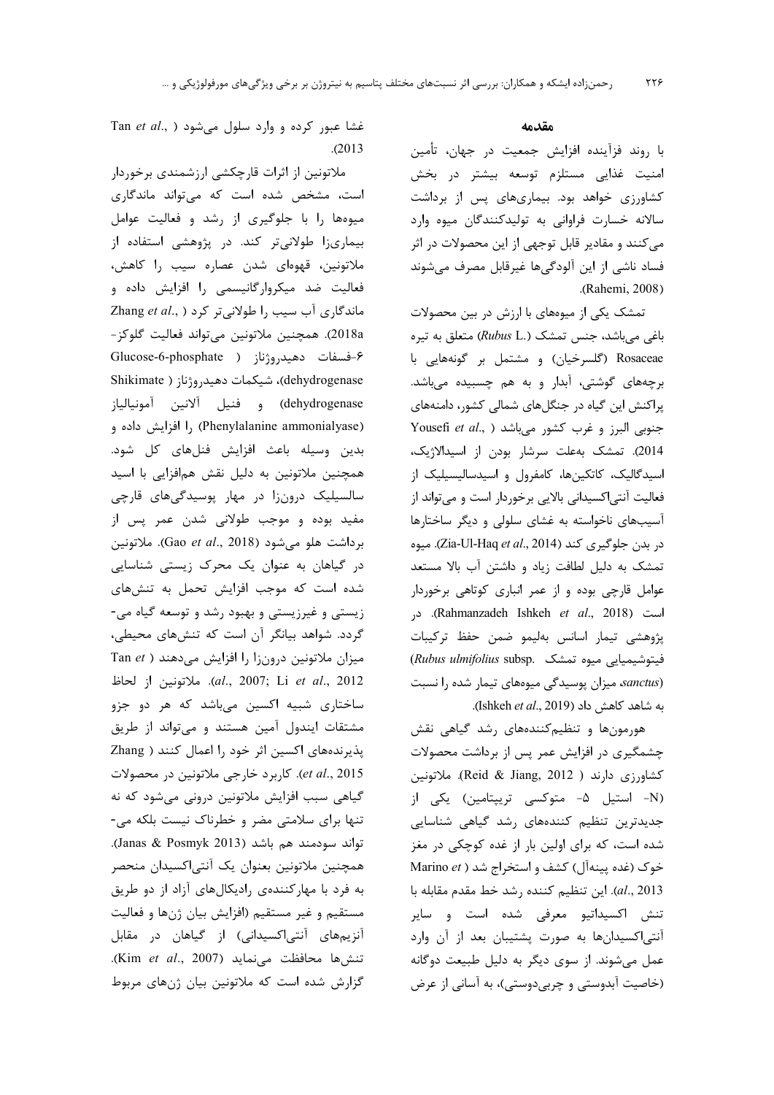### مقدمه

با روند فزآینده افزایش جمعیت در جهان، تأمین امنیت غذایی مستلزم توسعه بیشتر در بخش کشاورزی خواهد بود. بیماریهای پس از برداشت سالانه خسارت فراوانی به تولیدکنندگان میوه وارد می کنند و مقادیر قابل توجهی از این محصولات در اثر فساد ناشی از این آلودگیها غیرقابل مصرف میشوند .(Rahemi, 2008)

تمشک یکی از میوههای با ارزش در بین محصولات باغی میباشد، جنس تمشک (Rubus L.) متعلق به تیره Rosaceae (گلسرخیان) و مشتمل بر گونههایی با برچههای گوشتی، آبدار و به هم چسبیده میباشد. پراکنش این گیاه در جنگلهای شمالی کشور، دامنههای Yousefi et al., ) جنوبی البرز و غرب کشور میباشد 2014). تمشك بهعلت سرشار بودن از اسيدالاژيک، اسیدگالیک، کاتکینها، کامفرول و اسیدسالیسیلیک از فعالیت آنتی|کسیدانی بالایی برخوردار است و میتواند از آسیبهای ناخواسته به غشای سلولی و دیگر ساختارها در بدن جلوگیری کند (Zia-Ul-Haq et al., 2014). میوه تمشک به دلیل لطافت زیاد و داشتن آب بالا مستعد عوامل قارچی بوده و از عمر انباری کوتاهی برخوردار است (Rahmanzadeh Ishkeh *et al.*, 2018). در پژوهشی تیمار اسانس بهلیمو ضمن حفظ ترکیبات (Rubus ulmifolius subsp. فيتوشيميايي ميوه تمشك sanctus) میزان پوسیدگی میوههای تیمار شده را نسبت به شاهد كاهش داد (Ishkeh et al., 2019).

هورمونها وتنظيم كنندههاى رشد گياهى نقش چشمگیری در افزایش عمر پس از برداشت محصولات كشاورزي دارند ( Reid & Jiang, 2012). ملاتونين (N- استیل ۵- متوکسی تریپتامین) یکی از جدیدترین تنظیم کنندههای رشد گیاهی شناسایی شده است، که برای اولین بار از غده کوچکی در مغز خوک (غده پینهآل) کشف و استخراج شد ( Marino et al., 2013). این تنظیم کننده رشد خط مقدم مقابله با تنش اکسیداتیو معرفی شده است و سایر آنتی اکسیدانها به صورت پشتیبان بعد از آن وارد عمل می شوند. از سوی دیگر به دلیل طبیعت دوگانه (خاصيت آبدوستي و چربي دوستي)، به آساني از عرض

Tan et al., ) تغشا عبور کرده و وارد سلول می شود  $. (2013)$ 

ملاتونین از اثرات قارچکشی ارزشمندی برخوردار است، مشخص شده است که می تواند ماندگاری میوهها را با جلوگیری از رشد و فعالیت عوامل بیماریزا طولانیتر کند. در پژوهشی استفاده از ملاتونین، قهوهای شدن عصاره سیب را کاهش، فعالیت ضد میکروارگانیسمی را افزایش داده و ماندگاری آب سیب را طولانی تر کرد ( ,.Zhang et al 2018a). همچنين ملاتونين مي تواند فعاليت گلوكز-۶-فسفات دهيدروژناز ( Glucose-6-phosphate dehydrogenase)، شيكمات دهيدروژناز ( Shikimate dehydrogenase) و فنيل آلانين آمونيالياز (Phenylalanine ammonialyase) را افزایش داده و بدين وسيله باعث افزايش فنلهاى كل شود. همچنین ملاتونین به دلیل نقش همافزایی با اسید سالسیلیک درونزا در مهار پوسیدگیهای قارچی مفيد بوده و موجب طولاني شدن عمر پس از برداشت هلو می شود (Gao et al., 2018). ملاتونین در گیاهان به عنوان یک محرک زیستی شناسایی شده است که موجب افزایش تحمل به تنشهای زیستی و غیرزیستی و بهبود رشد و توسعه گیاه می-گردد. شواهد بیانگر آن است که تنشهای محیطی، Tan et ) میزان ملاتونین درونزا را افزایش میدهند al., 2007; Li et al., 2012). ملاتونين از لحاظ ساختاری شبیه اکسین میباشد که هر دو جزو مشتقات ایندول آمین هستند و می تواند از طریق پذیرندههای اکسین اثر خود را اعمال کنند ( Zhang et al., 2015). كاربرد خارجي ملاتونين در محصولات گیاهی سبب افزایش ملاتونین درونی می شود که نه تنها برای سلامتی مضر و خطرناک نیست بلکه می-تواند سودمند هم باشد (Janas & Posmyk 2013). همچنین ملاتونین بعنوان یک آنتی|کسیدان منحصر به فرد با مهارکنندهی رادیکالهای آزاد از دو طریق مستقيم و غير مستقيم (افزايش بيان ژنها و فعاليت آنزیمهای آنتی|کسیدانی) از گیاهان در مقابل تنشها محافظت مى نمايد (Kim et al., 2007). گزارش شده است که ملاتونین بیان ژنهای مربوط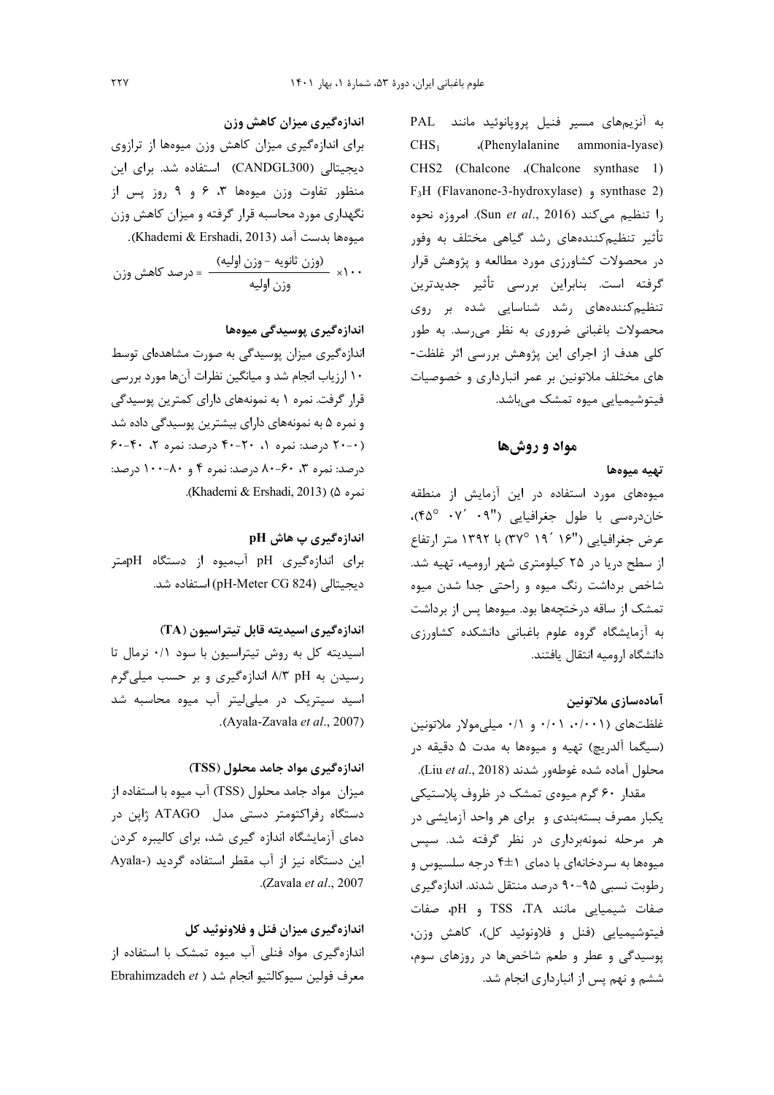به آنزیمهای مسیر فنیل پروپانوئید مانند PAL (Phenylalanine ammonia-lyase)  $CHS<sub>1</sub>$ CHS2 (Chalcone .(Chalcone synthase 1) F<sub>3</sub>H (Flavanone-3-hydroxylase) <sub>9</sub> synthase 2) را تنظيم مي كند (Sun et al., 2016). امروزه نحوه تأثیر تنظیم کنندههای رشد گیاهی مختلف به وفور در محصولات کشاورزی مورد مطالعه و پژوهش قرار گرفته است. بنابراین بررسی تأثیر جدیدترین تنظیم کنندههای رشد شناسایی شده بر روی محصولات باغبانی ضروری به نظر می رسد. به طور کلی هدف از اجرای این پژوهش بررسی اثر غلظت-های مختلف ملاتونین بر عمر انبارداری و خصوصیات فیتوشیمیایی میوه تمشک میباشد.

# مواد و روشها

### تهيه ميوهها

میوههای مورد استفاده در این آزمایش از منطقه خاندرهسی با طول جغرافیایی ('۰۹ <sup>۰</sup>۴۵ °۴۵). عرض جغرافيايي ("۱۶ ´۱۹ ´۱۹ '۳۷) با ۱۳۹۲ متر ارتفاع از سطح دریا در ۲۵ کیلومتری شهر ارومیه، تهیه شد. شاخص برداشت رنگ میوه و راحتی جدا شدن میوه تمشک از ساقه درختچهها بود. میوهها پس از برداشت به آزمایشگاه گروه علوم باغبانی دانشکده کشاورزی دانشگاه ارومیه انتقال یافتند.

### آمادەسازى ملاتونين

غلظتهای (۰/۰۰۱، ۰/۰۱ و ۰/۱ میلی مولار ملاتونین (سيگما آلدريچ) تهيه و ميوهها به مدت ۵ دقيقه در محلول آماده شده غوطهور شدند (Liu et al., 2018).

مقدار ۶۰ گرم میوهی تمشک در ظروف پلاستیکی یکبار مصرف بستهبندی و برای هر واحد آزمایشی در هر مرحله نمونهبرداری در نظر گرفته شد. سپس میوهها به سردخانهای با دمای ۴±۴ درجه سلسیوس و رطوبت نسبی ۹۵-۹۰ درصد منتقل شدند. اندازهگیری صفات شيميايي مانند TSS ،TA و pH، صفات فيتوشيميايي (فنل و فلاونوئيد كل)، كاهش وزن، پوسیدگی و عطر و طعم شاخصها در روزهای سوم، ششم و نهم پس از انبارداری انجام شد.

## اندازهگیری میزان کاهش وزن

برای اندازهگیری میزان کاهش وزن میوهها از ترازوی دیجیتالی (CANDGL300) استفاده شد. برای این منظور تفاوت وزن میوهها ۳، ۶ و ۹ روز پس از نگهداری مورد محاسبه قرار گرفته و میزان کاهش وزن مبوهها بدست آمد (Khademi & Ershadi, 2013).

## اندازہگیری پوسیدگی میوہھا

اندازهگیری میزان پوسیدگی به صورت مشاهدهای توسط ۱۰ ارزیاب انجام شد و میانگین نظرات آنها مورد بررسی قرار گرفت. نمره ۱ به نمونههای دارای کمترین پوسیدگی و نمره ۵ به نمونههای دارای بیشترین پوسیدگی داده شد (۲۰-۰) درصد: نمره ۰، ۲۰-۴۰ درصد: نمره ۲، ۴۰-۶۰ درصد: نمره ۳، ۶۰-۸۰ درصد: نمره ۴ و ۸۰-۱۰۰ درصد: نمره (Khademi & Ershadi, 2013).

اندازهگیری پ هاش pH برای اندازهگیری pH آبمیوه از دستگاه pHمتر ديجيتالي (pH-Meter CG 824) استفاده شد.

اندازه گیری اسیدیته قابل تیتراسیون (TA) اسیدیته کل به روش تیتراسیون با سود ۰/۱ نرمال تا , سیدن به ۸/۳ pH ۸/۳ اندازهگیری و بر حسب میل*ی گ*رم اسید سیتریک در میلی لیتر آب میوه محاسبه شد .(Ayala-Zavala et al., 2007)

# اندازهگیری مواد جامد محلول (TSS)

میزان مواد جامد محلول (TSS) آب میوه با استفاده از دستگاه رفراکتومتر دستی مدل ATAGO ژاپن در دمای آزمایشگاه اندازه گیری شد، برای کالیبره کردن این دستگاه نیز از آب مقطر استفاده گردید (-Ayala .(Zavala et al., 2007)

اندازه گيري ميزان فنل و فلاونوئيد کل اندازهگیری مواد فنلی آب میوه تمشک با استفاده از Ebrahimzadeh et ) معرف فولين سيوكالتيو انجام شد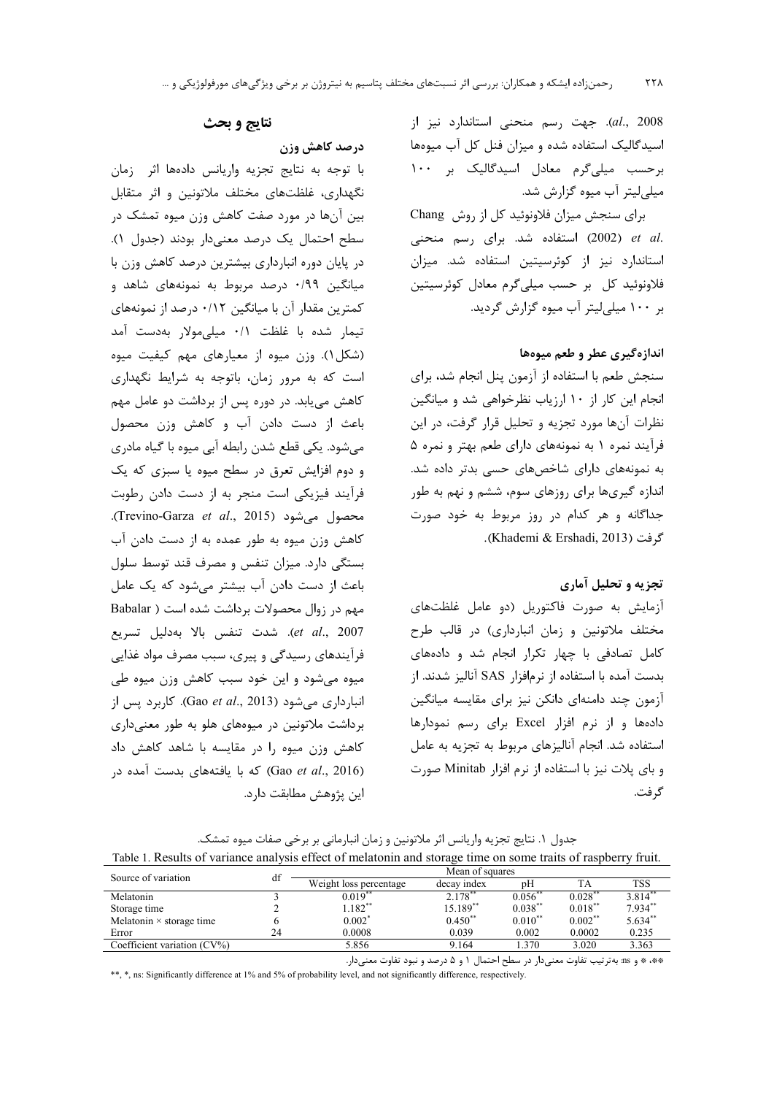al., 2008). جهت رسم منحنى استاندارد نيز از اسیدگالیک استفاده شده و میزان فنل کل آب میوهها برحسب میلی گرم معادل اسیدگالیک بر ۱۰۰ میلی لیتر آب میوه گزارش شد.

برای سنجش میزان فلاونوئید کل از روش Chang et al. (2002) استفاده شد. برای رسم منحنی استاندارد نیز از کوئرسیتین استفاده شد. میزان فلاونوئید کل بر حسب میلی گرم معادل کوئرسیتین بر ۱۰۰ میلے لیتر آب میوه گزارش گردید.

# اندازه گیری عطر و طعم میوهها

سنجش طعم با استفاده از آزمون پنل انجام شد، برای انجام این کار از ۱۰ ارزیاب نظرخواهی شد و میانگین نظرات آنها مورد تجزیه و تحلیل قرار گرفت، در این فرآیند نمره ۱ به نمونههای دارای طعم بهتر و نمره ۵ به نمونههای دارای شاخصهای حسی بدتر داده شد. اندازه گیریها برای روزهای سوم، ششم و نهم به طور جداگانه و هر کدام در روز مربوط به خود صورت گرفت (Khademi & Ershadi, 2013).

# تجزیه و تحلیل آماری

آزمایش به صورت فاکتوریل (دو عامل غلظتهای مختلف ملاتونین و زمان انبارداری) در قالب طرح کامل تصادفی با چهار تکرار انجام شد و دادههای بدست آمده با استفاده از نرمافزار SAS آنالیز شدند. از آزمون چند دامنهای دانکن نیز برای مقایسه میانگین دادهها و از نرم افزار Excel برای رسم نمودارها استفاده شد. انجام آنالیزهای مربوط به تجزیه به عامل و بای پلات نیز با استفاده از نرم افزار Minitab صورت گ فت.

# نتايج و بحث

# درصد كاهش وزن

با توجه به نتايج تجزيه واريانس دادهها اثر زمان نگهداری، غلظتهای مختلف ملاتونین و اثر متقابل بین آنها در مورد صفت کاهش وزن میوه تمشک در سطح احتمال یک درصد معنیدار بودند (جدول ۱). در پایان دوره انبارداری بیشترین درصد کاهش وزن با میانگین ۰/۹۹ درصد مربوط به نمونههای شاهد و کمترین مقدار آن با میانگین ۰/۱۲ درصد از نمونههای تيمار شده با غلظت ٠/١ ميلي مولار بهدست آمد (شکل ۱). وزن میوه از معیارهای مهم کیفیت میوه است که به مرور زمان، باتوجه به شرایط نگهداری کاهش می یابد. در دوره پس از برداشت دو عامل مهم باعث از دست دادن آب و کاهش وزن محصول می شود. یکی قطع شدن رابطه آبی میوه با گیاه مادری و دوم افزایش تعرق در سطح میوه یا سبزی که یک فرآیند فیزیکی است منجر به از دست دادن رطوبت Arevino-Garza et al., 2015). Trevino-Garza et al., 2015). كاهش وزن ميوه به طور عمده به از دست دادن آب بستگی دارد. میزان تنفس و مصرف قند توسط سلول باعث از دست دادن آب بیشتر می شود که یک عامل مهم در زوال محصولات برداشت شده است ( Babalar et al., 2007). شدت تنفس بالا بهدليل تسريع فرآیندهای رسیدگی و پیری، سبب مصرف مواد غذایی میوه میشود و این خود سبب کاهش وزن میوه طی انبارداری می شود (Gao et al., 2013). کاربرد پس از برداشت ملاتونین در میوههای هلو به طور معنیداری کاهش وزن میوه را در مقایسه با شاهد کاهش داد (Gao et al., 2016) كه با يافتههاى بدست آمده در اين پژوهش مطابقت دارد.

| جدول ١. نتايج تجزيه واريانس اثر ملاتونين و زمان انبارماني بر برخي صفات ميوه تمشک.                             |
|---------------------------------------------------------------------------------------------------------------|
| Table 1. Results of variance analysis effect of melatonin and storage time on some traits of raspberry fruit. |

| Source of variation             | df | Mean of squares        |              |              |                      |                   |  |  |
|---------------------------------|----|------------------------|--------------|--------------|----------------------|-------------------|--|--|
|                                 |    | Weight loss percentage | decay index  | pΗ           |                      | <b>TSS</b>        |  |  |
| Melatonin                       |    | 0.019                  | 2.178        | 0.056        | $0.028$ <sup>*</sup> | $3.814^{\degree}$ |  |  |
| Storage time                    |    | $1.182**$              | $15.189**$   | $0.038***$   | $0.018***$           | $7.934**$         |  |  |
| Melatonin $\times$ storage time |    | $0.002^*$              | $0.450^{**}$ | $0.010^{**}$ | $0.002***$           | $5.634**$         |  |  |
| Error                           | 24 | 0.0008                 | 0.039        | 0.002        | 0.0002               | 0.235             |  |  |
| Coefficient variation (CV%)     |    | 5.856                  | 9.164        | .370         | 3.020                | 3.363             |  |  |
|                                 |    |                        |              |              |                      |                   |  |  |

\*\*» \* و ms: به ترتیب تفاوت معنیدار در سطح احتمال ۱ و ۵ درصد و نبود تفاوت معنیدار.

\*\*, \*, ns: Significantly difference at 1% and 5% of probability level, and not significantly difference, respectively.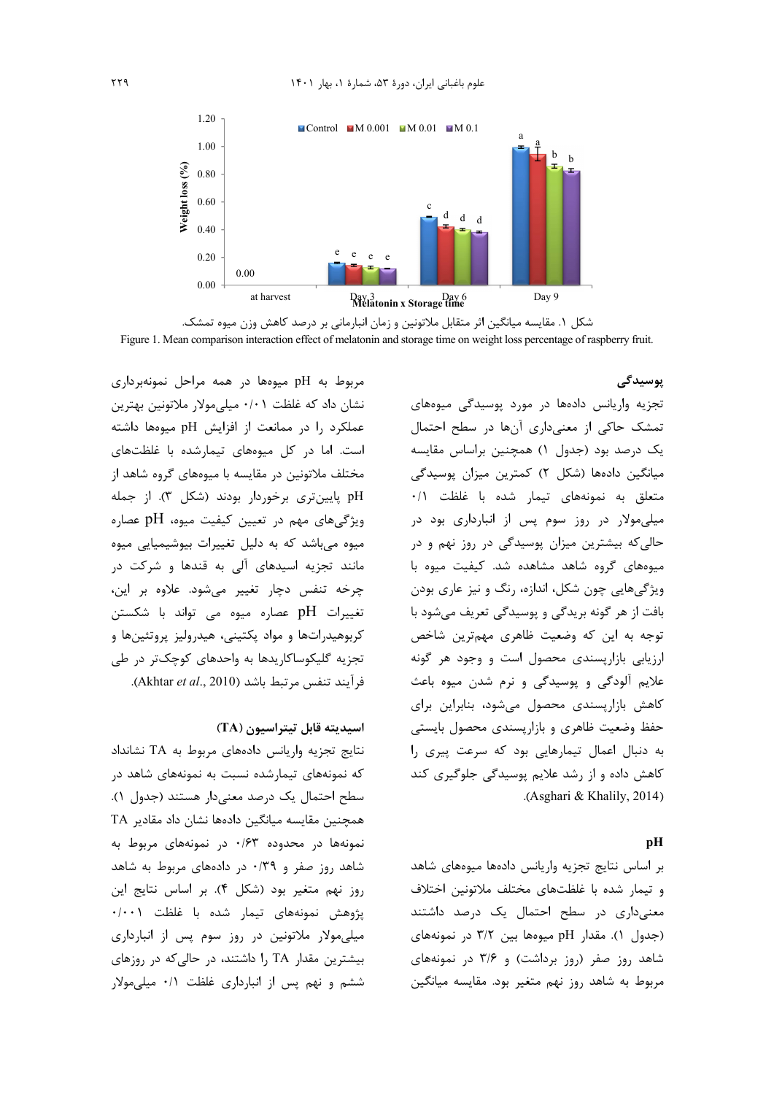



پوسیدگی

تجزیه واریانس دادهها در مورد پوسیدگی میوههای تمشک حاکی از معنیداری آنها در سطح احتمال یک درصد بود (جدول ۱) همچنین براساس مقایسه میانگین دادهها (شکل ۲) کمترین میزان پوسیدگی متعلق به نمونههای تیمار شده با غلظت ۰/۱ میلی مولار در روز سوم پس از انبارداری بود در حالي که بيشترين ميزان پوسيدگي در روز نهم و در میوههای گروه شاهد مشاهده شد. کیفیت میوه با ویژگیهایی چون شکل، اندازه، رنگ و نیز عاری بودن بافت از هر گونه بریدگی و پوسیدگی تعریف میشود با توجه به این که وضعیت ظاهری مهمترین شاخص ارزیابی بازارپسندی محصول است و وجود هر گونه علايم آلودگي و پوسيدگي و نرم شدن ميوه باعث كاهش بازارپسندى محصول مى شود، بنابراين براى حفظ وضعیت ظاهری و بازارپسندی محصول بایستی به دنبال اعمال تیمارهایی بود که سرعت پیری را کاهش داده و از رشد علایم پوسیدگی جلوگیری کند .(Asghari & Khalily, 2014)

### pH

بر اساس نتايج تجزيه واريانس دادهها ميوههاى شاهد و تیمار شده با غلظتهای مختلف ملاتونین اختلاف معنیداری در سطح احتمال یک درصد داشتند (جدول ۱). مقدار pH میوهها بین ۳/۲ در نمونههای شاهد روز صفر (روز برداشت) و ۳/۶ در نمونههای مربوط به شاهد روز نهم متغیر بود. مقایسه میانگین

مربوط به pH میوهها در همه مراحل نمونهبرداری نشان داد که غلظت ۰/۰۱ میلی مولار ملاتونین بهترین عملکرد را در ممانعت از افزایش pH میوهها داشته است. اما در کل میوههای تیمارشده با غلظتهای مختلف ملاتونین در مقایسه با میوههای گروه شاهد از pH پایین تری برخوردار بودند (شکل ۳). از جمله ویژگیهای مهم در تعیین کیفیت میوه، pH عصاره میوه میباشد که به دلیل تغییرات بیوشیمیایی میوه مانند تجزیه اسیدهای آل<sub>ی</sub> به قندها و شرکت د<sub>ر</sub> چرخه تنفس دچار تغییر می شود. علاوه بر این، تغییرات pH عصاره میوه می تواند با شکستن کربوهیدراتها و مواد یکتینی، هیدرولیز پروتئینها و تجزیه گلیکوساکاریدها به واحدهای کوچکتر در طی فرآيند تنفس مرتبط باشد (Akhtar et al., 2010).

# اسيديته قابل تيتراسيون (TA)

نتايج تجزيه واريانس دادههاى مربوط به TA نشانداد که نمونههای تیمارشده نسبت به نمونههای شاهد در سطح احتمال یک درصد معنیدار هستند (جدول ۱). همچنین مقایسه میانگین دادهها نشان داد مقادیر TA نمونهها در محدوده ۰/۶۳ در نمونههای مربوط به شاهد روز صفر و ۰/۳۹ در دادههای مربوط به شاهد روز نهم متغیر بود (شکل ۴). بر اساس نتایج این پژوهش نمونههای تیمار شده با غلظت ۰/۰۰۱ میلی مولار ملاتونین در روز سوم پس از انبارداری بیشترین مقدار TA را داشتند، در حالی که در روزهای ششم و نهم پس از انبارداری غلظت ۰/۱ میلی مولار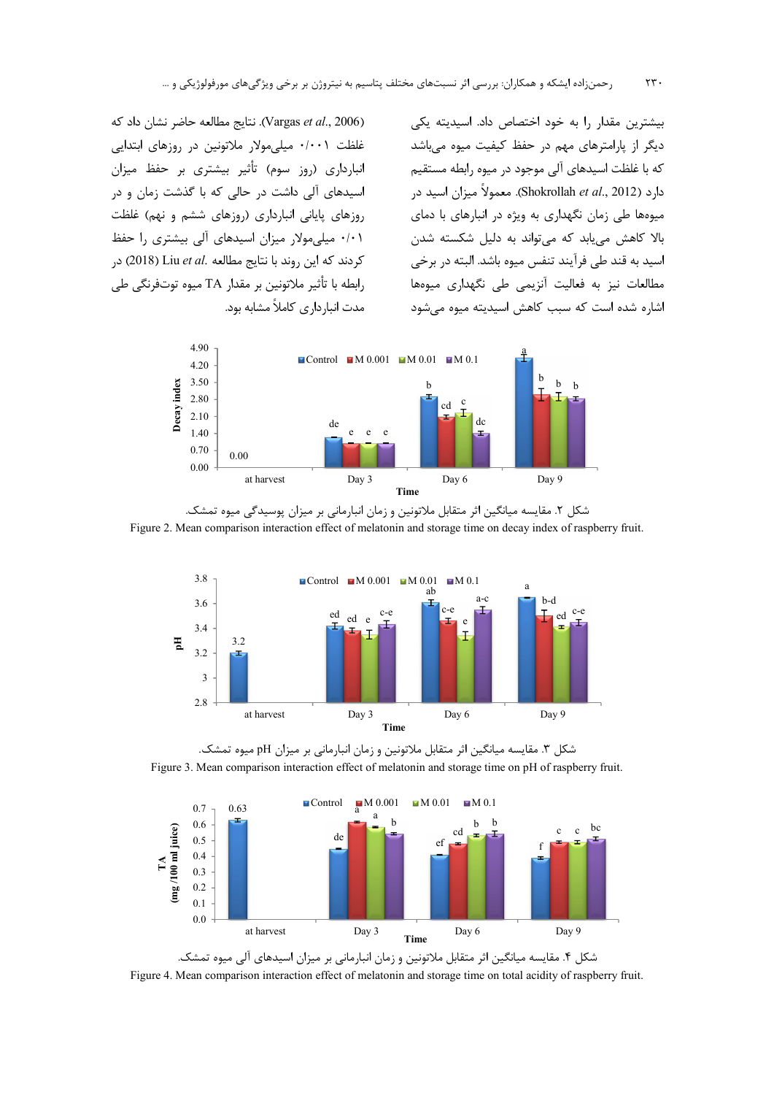لنتايج مطالعه حاضر نشان داد كه (Vargas et al., 2006) غلظت ۰/۰۰۱ میلی مولار ملاتونین در روزهای ابتدایی انبارداری (روز سوم) تأثیر بیشتری بر حفظ میزان اسیدهای آلی داشت در حالی که با گذشت زمان و در روزهای پایانی انبارداری (روزهای ششم و نهم) غلظت ۰/۰۱ میلی مولار میزان اسیدهای آلی بیشتری را حفظ كردند كه اين روند با نتايج مطالعه .Liu et al (2018) در رابطه با تأثير ملاتونين بر مقدار TA ميوه توتفرنگي طي مدت انیا داری کاملاً مشابه بود.

بیشترین مقدار را به خود اختصاص داد. اسیدیته یکی دیگر از پارامترهای مهم در حفظ کیفیت میوه میباشد که با غلظت اسیدهای آلی موجود در میوه رابطه مستقیم دارد (Shokrollah *et al.*, 2012). معمولاً میزان اسید در میوهها طی زمان نگهداری به ویژه در انبارهای با دمای بالا کاهش می،بابد که می تواند به دلیل شکسته شدن اسيد به قند طي فرآيند تنفس ميوه باشد. البته در برخي مطالعات نیز به فعالیت آنزیمی طی نگهداری میوهها اشا, ه شده است که سبب کاهش اسیدیته میوه می شود



شکل ۲. مقایسه میانگین اثر متقابل ملاتونین و زمان انبارمانی بر میزان پوسیدگی میوه تمشک. Figure 2. Mean comparison interaction effect of melatonin and storage time on decay index of raspberry fruit.



شکل ۳. مقایسه میانگین اثر متقابل ملاتونین و زمان انبارمانی بر میزان pH میوه تمشک. Figure 3. Mean comparison interaction effect of melatonin and storage time on pH of raspberry fruit.



شکل ۴. مقایسه میانگین اثر متقابل ملاتونین و زمان انبارمانی بر میزان اسیدهای آلی میوه تمشک. Figure 4. Mean comparison interaction effect of melatonin and storage time on total acidity of raspberry fruit.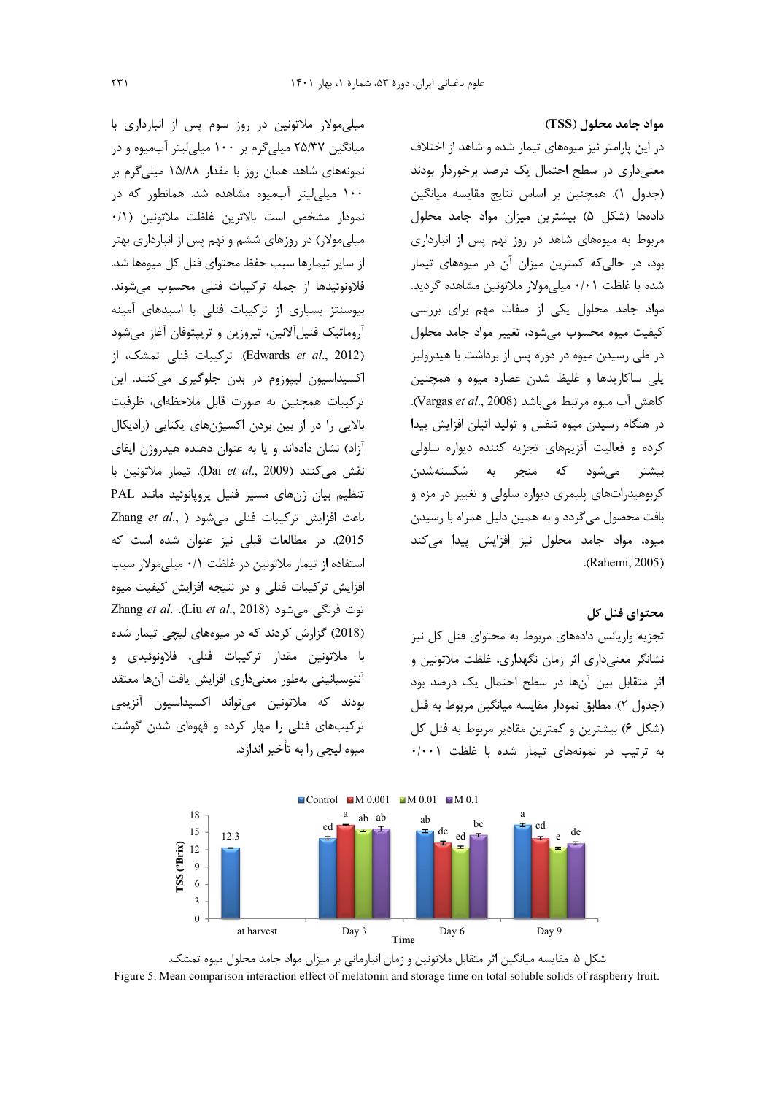میلی مولار ملاتونین در روز سوم پس از انبارداری با میانگین ۲۵/۳۷ میلی گرم بر ۱۰۰ میلی لیتر آبمیوه و در نمونههای شاهد همان روز با مقدار ۱۵/۸۸ میلی گرم بر ۱۰۰ میلی لیتر آبمیوه مشاهده شد. همانطور که در نمودار مشخص است بالاترين غلظت ملاتونين (١/٠ میلیمولار) در روزهای ششم و نهم پس از انبارداری بهتر از سایر تیمارها سبب حفظ محتوای فنل کل میوهها شد. فلاونوئيدها از جمله تركيبات فنلي محسوب مي شوند. بیوسنتز بسیاری از ترکیبات فنلی با اسیدهای آمینه آروماتیک فنیلآلانین، تیروزین و تریپتوفان آغاز میشود (Edwards et al., 2012). تركيبات فنلي تمشك، از اکسیداسیون لیپوزوم در بدن جلوگیری میکنند. این ترکیبات همچنین به صورت قابل ملاحظهای، ظرفیت بالایی را در از بین بردن اکسیژنهای یکتایی (رادیکال آزاد) نشان دادهاند و یا به عنوان دهنده هیدروژن ایفای نقش می كنند (Dai et al., 2009). تيمار ملاتونين با تنظیم بیان ژنهای مسیر فنیل پرویانوئید مانند PAL Zhang et al., ) میشود در Zhang et al., ) 2015). در مطالعات قبلی نیز عنوان شده است که استفاده از تیمار ملاتونین در غلظت ۰/۱ میلی مولار سبب افزایش ترکیبات فنلی و در نتیجه افزایش کیفیت میوه Zhang et al. .(Liu et al., 2018) توت فرنگی می شود (2018) گزارش کردند که در میوههای لیچی تیمار شده با ملاتونين مقدار تركيبات فنلي، فلاونوئيدي و أنتوسيانيني بهطور معنىداري افزايش يافت أنها معتقد بودند که ملاتونین میتواند اکسیداسیون آنزیمی ترکیبهای فنلی را مهار کرده و قهوهای شدن گوشت ميوه ليچے ,ا به تأخير اندازد.

مواد جامد محلول (TSS) در این پارامتر نیز میوههای تیمار شده و شاهد از اختلاف معنیداری در سطح احتمال یک درصد برخوردار بودند (جدول ١). همچنین بر اساس نتایج مقایسه میانگین دادهها (شكل ۵) بيشترين ميزان مواد جامد محلول مربوط به میوههای شاهد در روز نهم پس از انبارداری بود، در حالی که کمترین میزان آن در میوههای تیمار شده با غلظت ۰/۰۱ میلی مولار ملاتونین مشاهده گردید. مواد جامد محلول یکی از صفات مهم برای بررسی كيفيت ميوه محسوب مىشود، تغيير مواد جامد محلول در طی رسیدن میوه در دوره پس از برداشت با هیدرولیز پلی ساکاریدها و غلیظ شدن عصاره میوه و همچنین كاهش آب ميوه مرتبط مى باشد (Vargas et al., 2008). در هنگام رسیدن میوه تنفس و تولید اتیلن افزایش پیدا کرده و فعالیت آنزیمهای تجزیه کننده دیواره سلولی بيشتر مي شود كه منجر به شكستهشدن کربوهیدراتهای پلیمری دیواره سلولی و تغییر در مزه و بافت محصول میگردد و به همین دلیل همراه با رسیدن میوه، مواد جامد محلول نیز افزایش پیدا میکند .(Rahemi, 2005)

### محتواي فنل كل

تجزیه واریانس دادههای مربوط به محتوای فنل کل نیز نشانگر معنیداری اثر زمان نگهداری، غلظت ملاتونین و اثر متقابل بین آنها در سطح احتمال یک درصد بود (جدول ٢). مطابق نمودار مقايسه ميانگين مربوط به فنل (شکل ۶) بیشترین و کمترین مقادیر مربوط به فنل کل به ترتیب در نمونههای تیمار شده با غلظت ۰/۰۰۱



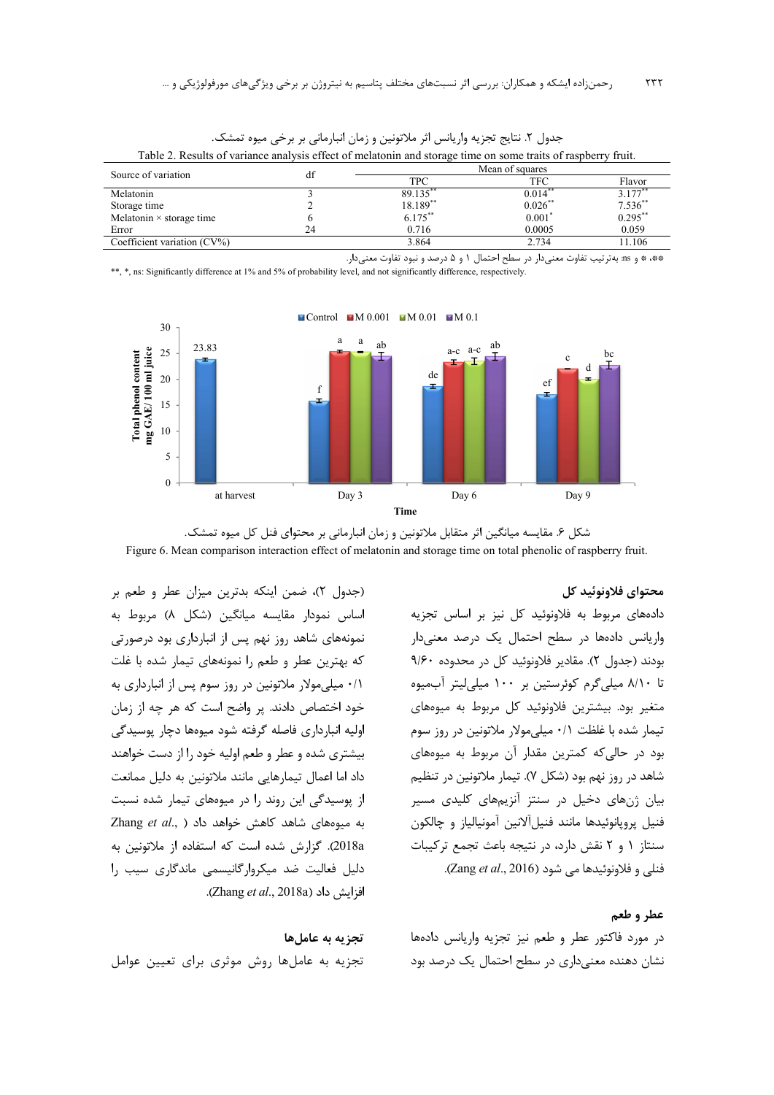| Table 2. Results of variance analysis effect of including and storage thre on some trans of raspocity fruit. |    |                 |           |                         |  |  |  |  |
|--------------------------------------------------------------------------------------------------------------|----|-----------------|-----------|-------------------------|--|--|--|--|
| Source of variation                                                                                          |    | Mean of squares |           |                         |  |  |  |  |
|                                                                                                              |    | <b>TPC</b>      | TFC       | Flavor                  |  |  |  |  |
| Melatonin                                                                                                    |    | 89.135          | $0.014^*$ | 3.177                   |  |  |  |  |
| Storage time                                                                                                 |    | 18.189**        | 0.026     | $7.536^{**}$<br>0.295** |  |  |  |  |
| Melatonin $\times$ storage time                                                                              |    | $6.175***$      | 0.001'    |                         |  |  |  |  |
| Error                                                                                                        | 24 | 0.716           | 0.0005    | 0.059                   |  |  |  |  |
| Coefficient variation $(CV\%)$                                                                               |    | 3.864           | 2.734     | 11.106                  |  |  |  |  |

جدول ٢. نتايج تجزيه واريانس اثر ملاتونين و زمان انبارماني بر برخي ميوه تمشك. Table 2. Results of variance analysis effect of melatonin and storage time on some traits of raspberry fruit

\*\*\* \* و as: به ترتیب تفاوت معنی دار در سطح احتمال ۱ و ۵ درصد و نبود تفاوت معنی دار.

\*\*, \*, ns: Significantly difference at 1% and 5% of probability level, and not significantly difference, respectively.



شکل ۶. مقایسه میانگین اثر متقابل ملاتونین و زمان انبارمانی بر محتوای فنل کل میوه تمشک. Figure 6. Mean comparison interaction effect of melatonin and storage time on total phenolic of raspberry fruit.

#### محتواي فلاونوئيد كل

دادههای مربوط به فلاونوئید کل نیز بر اساس تجزیه واریانس دادهها در سطح احتمال یک درصد معنیدار بودند (جدول ٢). مقادير فلاونوئيد كل در محدوده ٩/٤٠ تا ٨/١٠ ميلي گرم كوئرستين بر ١٠٠ ميلي/يتر آبميوه متغیر بود. بیشترین فلاونوئید کل مربوط به میوههای تیمار شده با غلظت ۰/۱ میلیمولار ملاتونین در روز سوم بود در حالی که کمترین مقدار آن مربوط به میوههای شاهد در روز نهم بود (شکل ۷). تیمار ملاتونین در تنظیم بیان ژنهای دخیل در سنتز آنزیمهای کلیدی مسیر فنيل يرويانوئيدها مانند فنيل آلانين آمونيالياز و چالكون سنتاز ١ و ٢ نقش دارد، در نتيجه باعث تجمع تركيبات . فنلي و فلاونوئيدها مي شود (Zang et al., 2016)

#### عطر و طعم

در مورد فاكتور عطر و طعم نيز تجزيه واريانس دادهها نشان دهنده معنی داری در سطح احتمال یک درصد بود

(جدول ٢)، ضمن اينكه بدترين ميزان عطر و طعم بر اساس نمودار مقایسه میانگین (شکل ۸) مربوط به نمونههای شاهد روز نهم پس از انبارداری بود درصورتی که بهترین عطر و طعم را نمونههای تیمار شده با غلت ۰/۱ میلی مولار ملاتونین در روز سوم پس از انبارداری به خود اختصاص دادند. پر واضح است که هر چه از زمان اولیه انبارداری فاصله گرفته شود میوهها دچار پوسیدگی بیشتری شده و عطر و طعم اولیه خود را از دست خواهند داد اما اعمال تیمارهایی مانند ملاتونین به دلیل ممانعت از پوسیدگی این روند را در میوههای تیمار شده نسبت Zhang et al., ) به میوههای شاهد کاهش خواهد داد 2018a). گزارش شده است که استفاده از ملاتونین به دلیل فعالیت ضد میکروارگانیسمی ماندگاری سیب را افزايش داد (Zhang et al., 2018a).

# تجزيه به عامل ها تجزیه به عاملها روش موثری برای تعیین عوامل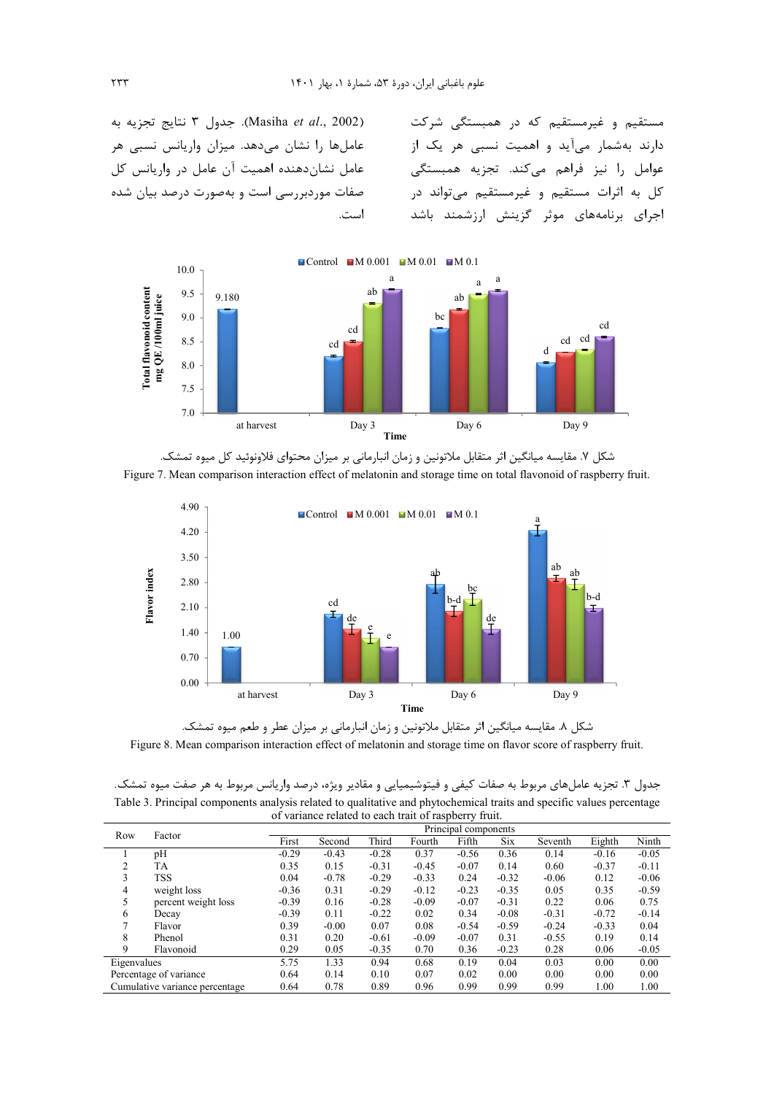(Masiha *et al.*, 2002). جدول ٣ نتايج تجزيه به عاملها را نشان میدهد. میزان واریانس نسبی هر عامل نشان دهنده اهمیت آن عامل در واریانس کل صفات موردبررسی است و بهصورت درصد بیان شده ست.

مستقیم و غیرمستقیم که در همبستگی شرکت دارند بهشمار میآید و اهمیت نسبی هر یک از عوامل را نیز فراهم میکند. تجزیه همبستگی كل به اثرات مستقيم و غيرمستقيم مي تواند در جرای برنامههای موثر گزینش ارزشمند باشد



شکل ۷. مقایسه میانگین اثر متقابل ملاتونین و زمان انبارمانی بر میزان محتوای فلاونوئید کل میوه تمشک. Figure 7. Mean comparison interaction effect of melatonin and storage time on total flavonoid of raspberry fruit.



شکل ۸. مقایسه میانگین اثر متقابل ملاتونین و زمان انبارمانی بر میزان عطر و طعم میوه تمشک.

Figure 8. Mean comparison interaction effect of melatonin and storage time on flavor score of raspberry fruit.

جدول ۳. تجزیه عاملهای مربوط به صفات کیفی و فیتوشیمیایی و مقادیر ویژه، درصد واریانس مربوط به هر صفت میوه تمشک. Table 3. Principal components analysis related to qualitative and phytochemical traits and specific values percentage of variance related to each trait of raspberry fruit.

| Row         | Factor                         | Principal components |         |         |         |         |            |         |         |         |
|-------------|--------------------------------|----------------------|---------|---------|---------|---------|------------|---------|---------|---------|
|             |                                | First                | Second  | Third   | Fourth  | Fifth   | <b>Six</b> | Seventh | Eighth  | Ninth   |
|             | pH                             | $-0.29$              | $-0.43$ | $-0.28$ | 0.37    | $-0.56$ | 0.36       | 0.14    | $-0.16$ | $-0.05$ |
| 2           | <b>TA</b>                      | 0.35                 | 0.15    | $-0.31$ | $-0.45$ | $-0.07$ | 0.14       | 0.60    | $-0.37$ | $-0.11$ |
| 3           | <b>TSS</b>                     | 0.04                 | $-0.78$ | $-0.29$ | $-0.33$ | 0.24    | $-0.32$    | $-0.06$ | 0.12    | $-0.06$ |
| 4           | weight loss                    | $-0.36$              | 0.31    | $-0.29$ | $-0.12$ | $-0.23$ | $-0.35$    | 0.05    | 0.35    | $-0.59$ |
| 5           | percent weight loss            | $-0.39$              | 0.16    | $-0.28$ | $-0.09$ | $-0.07$ | $-0.31$    | 0.22    | 0.06    | 0.75    |
| 6           | Decay                          | $-0.39$              | 0.11    | $-0.22$ | 0.02    | 0.34    | $-0.08$    | $-0.31$ | $-0.72$ | $-0.14$ |
| 7           | Flavor                         | 0.39                 | $-0.00$ | 0.07    | 0.08    | $-0.54$ | $-0.59$    | $-0.24$ | $-0.33$ | 0.04    |
| 8           | Phenol                         | 0.31                 | 0.20    | $-0.61$ | $-0.09$ | $-0.07$ | 0.31       | $-0.55$ | 0.19    | 0.14    |
| 9           | Flavonoid                      | 0.29                 | 0.05    | $-0.35$ | 0.70    | 0.36    | $-0.23$    | 0.28    | 0.06    | $-0.05$ |
| Eigenvalues |                                | 5.75                 | 1.33    | 0.94    | 0.68    | 0.19    | 0.04       | 0.03    | 0.00    | 0.00    |
|             | Percentage of variance         | 0.64                 | 0.14    | 0.10    | 0.07    | 0.02    | 0.00       | 0.00    | 0.00    | 0.00    |
|             | Cumulative variance percentage | 0.64                 | 0.78    | 0.89    | 0.96    | 0.99    | 0.99       | 0.99    | 1.00    | 1.00    |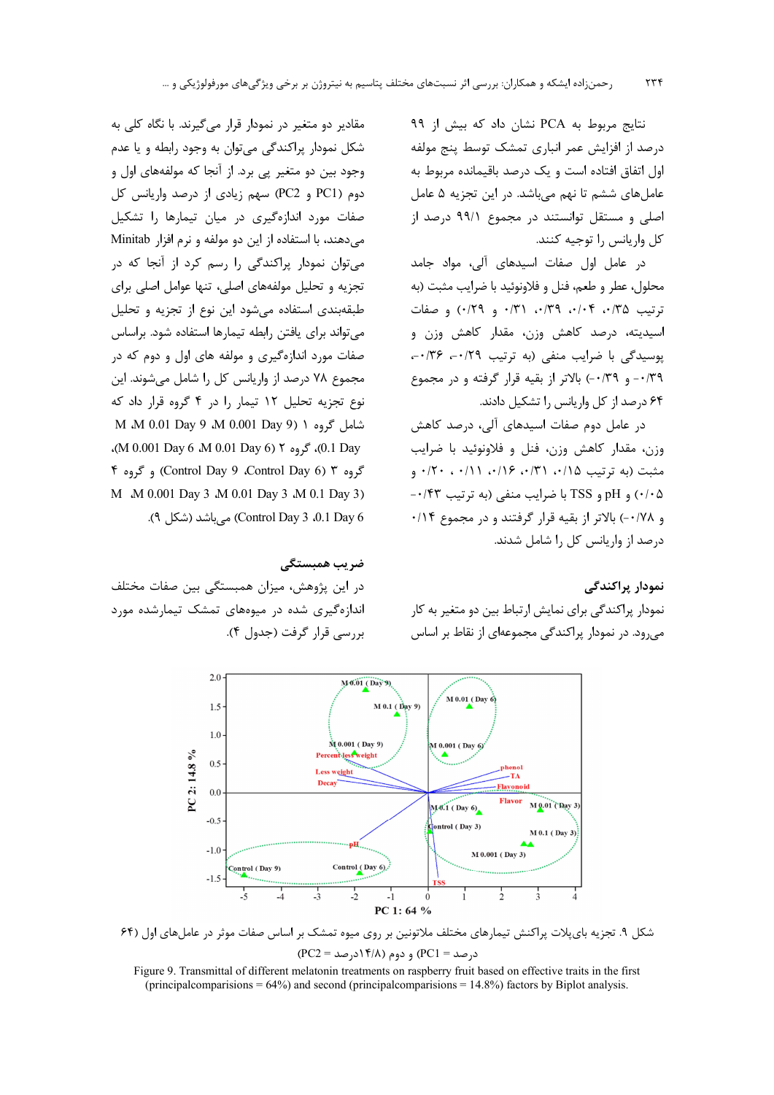نتايج مربوط به PCA نشان داد كه بيش از ۹۹ درصد از افزایش عمر انباری تمشک توسط پنج مولفه اول اتفاق افتاده است و یک درصد باقیمانده مربوط به عاملهای ششم تا نهم میباشد. در این تجزیه ۵ عامل اصلی و مستقل توانستند در مجموع ۹۹/۱ درصد از كل واريانس را توجيه كنند.

در عامل اول صفات اسیدهای آلی، مواد جامد محلول، عطر و طعم، فنل و فلاونوئيد با ضرايب مثبت (به  $\cdot$ ترتیب ۱۳۵، ۰/۴۴، ۰/۳۹، ۰/۳۱ و ۰/۲۹) وصفات اسیدیته، درصد کاهش وزن، مقدار کاهش وزن و پوسیدگی با ضرایب منفی (به ترتیب ۰/۲۹ - ۰/۳۶ ۰/۳۹- و ۰/۳۹-) بالاتر از بقیه قرار گرفته و در مجموع ۶۴ درصد از کل واریانس را تشکیل دادند.

در عامل دوم صفات اسیدهای آلی، درصد کاهش وزن، مقدار كاهش وزن، فنل و فلاونوئيد با ضرايب مثبت (به ترتيب ٠/١۵، ٠/٣١، ٠/١۶، ٠/١١، ٠/١١، ٠/٢٠ ۰/۰۵) و pH و TSS با ضرایب منفی (به ترتیب ۰/۴۳-و ۰/۷۸-) بالاتر از بقیه قرار گرفتند و در مجموع ۰/۱۴ درصد از واریانس کل را شامل شدند.

## نمودار پراکندگے

نمودار پراکندگی برای نمایش ارتباط بین دو متغیر به کار می,رود. در نمودار پراکندگی مجموعهای از نقاط بر اساس

مقادیر دو متغیر در نمودار قرار می گیرند. با نگاه کلی به شکل نمودار پراکندگی میتوان به وجود رابطه و یا عدم وجود بين دو متغير يې برد. از آنجا كه مولفههاي اول و دوم (PC1 و PC2) سهم زيادي از درصد واريانس كل صفات مورد اندازهگیری در میان تیمارها را تشکیل می دهند، با استفاده از این دو مولفه و نرم افزار Minitab می توان نمودار پراکندگی را رسم کرد از آنجا که در تجزیه و تحلیل مولفههای اصلی، تنها عوامل اصلی برای طبقهبندی استفاده می شود این نوع از تجزیه و تحلیل می تواند برای یافتن رابطه تیمارها استفاده شود. براساس صفات مورد اندازهگیری و مولفه های اول و دوم که در مجموع ۷۸ درصد از واریانس کل را شامل میشوند. این نوع تجزیه تحلیل ١٢ تیمار را در ۴ گروه قرار داد که شامل گروه ۱ (9 M 0.001 Day) M M M 0.01 Day .(M 0.001 Day 6 .M 0.01 Day 6) ۲ مگروه ۲ (M 0.001 Day 6 .M 0.01 گروه ۳ (Control Day 9 ،Control Day 6) و گروه ۴ M M 0.001 Day 3 M 0.01 Day 3 M 0.1 Day 3) Control Day 3 .0.1 Day 6). می باشد (شکل ۹).

### ضر یب همیستگے ِ

در این پژوهش، میزان همبستگی بین صفات مختلف اندازهگیری شده در میوههای تمشک تیمارشده مورد بررسی قرار گرفت (جدول ۴).



شکل ۹. تجزیه بای پلات پراکنش تیمارهای مختلف ملاتونین بر روی میوه تمشک بر اساس صفات موثر در عامل های اول (۶۴  $(PC2 = \{PC1\} )$ درصد = PC1) و دوم (۱۴/۸درصد

Figure 9. Transmittal of different melatonin treatments on raspberry fruit based on effective traits in the first (principal comparisons =  $64\%$ ) and second (principal comparisons = 14.8%) factors by Biplot analysis.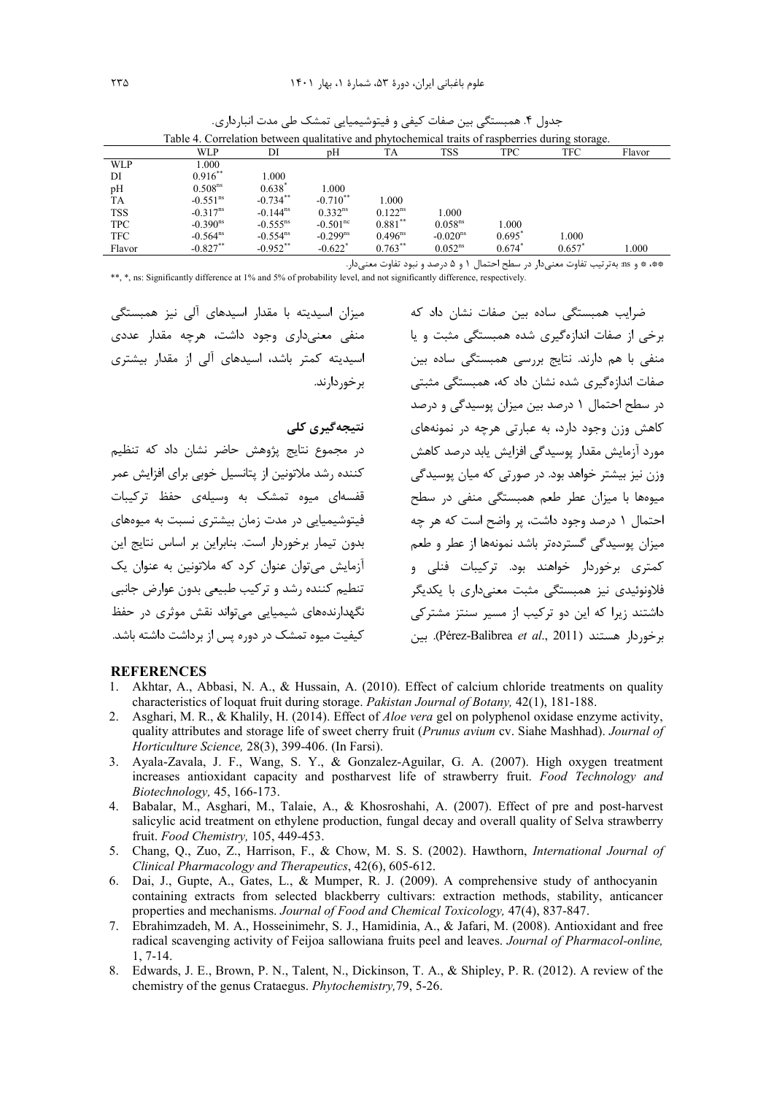| Table 4. Correlation between qualitative and phytochemical traits of raspberries during storage. |                        |                        |                        |              |                        |                      |                      |        |
|--------------------------------------------------------------------------------------------------|------------------------|------------------------|------------------------|--------------|------------------------|----------------------|----------------------|--------|
|                                                                                                  | WLP                    | DI                     | рH                     | TA           | <b>TSS</b>             | <b>TPC</b>           | <b>TFC</b>           | Flavor |
| WLP                                                                                              | 000.                   |                        |                        |              |                        |                      |                      |        |
| DI                                                                                               | $0.916***$             | 1.000                  |                        |              |                        |                      |                      |        |
| pH                                                                                               | 0.508 <sup>ns</sup>    | $0.638^*$              | 1.000                  |              |                        |                      |                      |        |
| TA                                                                                               | $-0.551^{\text{ns}}$   | $-0.734$ **            | $-0.710$ <sup>**</sup> | 1.000        |                        |                      |                      |        |
| <b>TSS</b>                                                                                       | $-0.317$ <sup>ns</sup> | $-0.144$ <sup>ns</sup> | $0.332^{ns}$           | $0.122^{ns}$ | 1.000                  |                      |                      |        |
| <b>TPC</b>                                                                                       | $-0.390^{\text{ns}}$   | $-0.555^{\text{ns}}$   | $-0.501^{\rm nc}$      | $0.881***$   | 0.058 <sup>ns</sup>    | 000.1                |                      |        |
| <b>TFC</b>                                                                                       | $-0.564^{\text{ns}}$   | $-0.554^{\text{ns}}$   | $-0.299^{ns}$          | $0.496^{ns}$ | $-0.020$ <sup>ns</sup> | $0.695^{\circ}$      | 1.000                |        |
| Flavor                                                                                           | $-0.827**$             | $-0.952$ **            | $-0.622$ <sup>*</sup>  | $0.763***$   | 0.052 <sup>ns</sup>    | $0.674$ <sup>*</sup> | $0.657$ <sup>*</sup> | 1.000  |

.<br>جدول ۴ همبستگی بین صفات کیفی و فیتوشیمیایی تمشک طی مدت انبارداری.<br>.

\*\*، \* و ms: بهترتيب تفاوت معنىدار در سطح احتمال ١ و ۵ درصد و نبود تفاوت معنىدار.

\*\*, \*, ns: Significantly difference at 1% and 5% of probability level, and not significantly difference, respectively.

میزان اسیدیته با مقدار اسیدهای آلی نیز همبستگی منفی معنے داری وجود داشت، هرچه مقدار عددی اسیدیته کمتر باشد، اسیدهای آلی از مقدار بیشتری بر خور دارند.

### نتىجەگىرى كلى

در مجموع نتایج پژوهش حاضر نشان داد که تنظیم کننده رشد ملاتونین از پتانسیل خوبی برای افزایش عمر قفسهای میوه تمشک به وسیلهی حفظ ترکیبات فیتوشیمیایی در مدت زمان بیشتری نسبت به میوههای بدون تیمار برخوردار است. بنابراین بر اساس نتایج این آزمایش مے توان عنوان کرد که ملاتونین به عنوان یک تنطیم کننده رشد و ترکیب طبیعی بدون عوارض جانبی نگهدارندههای شیمیایی میتواند نقش موثری در حفظ کیفیت میوه تمشک در دوره سر از برداشت داشته باشد.

.<br>ضرایب همبستگ*ی* ساده بین صفات نشان داد که برخی از صفات اندازهگیری شده همیستگی مثبت و یا منفی با هم دارند. نتایج بررسی همبستگی ساده بین ۔<br>صفات اندازہگیری شدہ نشان داد که، همبستگے، مثبتی در سطح احتمال ۱ درصد بین میزان پوسیدگی و درصد کاهش وزن وجود دارد، به عبارتی هرچه در نمونههای مورد آزمایش مقدار یوسیدگی افزایش پابد درصد کاهش وزن نیز بیشتر خواهد بود. در صورتی که میان پوسیدگی .<br>میوهها با میزان عطر طعم همبستگی منفی در سطح احتمال ۱ درصد وجود داشت، پر واضح است که هر چه میزان یوسیدگی گستردهتر باشد نمونهها از عطر و طعم کمتری برخوردار خواهند بود. ترکیبات فنلی و فلاونوئیدی نیز همبستگی مثبت معنی،داری با یکدیگر داشتند زیرا که این دو ترکیب از مسیر سنتز مشترکی برخوردار هستند (Pérez-Balibrea et al., 2011). بين

#### **REFERENCES**

- 1. Akhtar, A., Abbasi, N. A., & Hussain, A. (2010). Effect of calcium chloride treatments on quality characteristics of loquat fruit during storage. Pakistan Journal of Botany, 42(1), 181-188.
- 2. Asghari, M. R., & Khalily, H. (2014). Effect of *Aloe vera* gel on polyphenol oxidase enzyme activity, quality attributes and storage life of sweet cherry fruit (Prunus avium cv. Siahe Mashhad). Journal of Horticulture Science, 28(3), 399-406. (In Farsi).
- 3. Ayala-Zavala, J. F., Wang, S. Y., & Gonzalez-Aguilar, G. A. (2007). High oxygen treatment increases antioxidant capacity and postharvest life of strawberry fruit. Food Technology and Biotechnology, 45, 166-173.
- 4. Babalar, M., Asghari, M., Talaie, A., & Khosroshahi, A. (2007). Effect of pre and post-harvest salicylic acid treatment on ethylene production, fungal decay and overall quality of Selva strawberry fruit. Food Chemistry, 105, 449-453.
- 5. Chang, Q., Zuo, Z., Harrison, F., & Chow, M. S. S. (2002). Hawthorn, *International Journal of* Clinical Pharmacology and Therapeutics, 42(6), 605-612.
- 6. Dai, J., Gupte, A., Gates, L., & Mumper, R. J. (2009). A comprehensive study of anthocyanin containing extracts from selected blackberry cultivars: extraction methods, stability, anticancer properties and mechanisms. Journal of Food and Chemical Toxicology, 47(4), 837-847.
- 7. Ebrahimzadeh, M. A., Hosseinimehr, S. J., Hamidinia, A., & Jafari, M. (2008). Antioxidant and free radical scavenging activity of Feijoa sallowiana fruits peel and leaves. Journal of Pharmacol-online,  $1, 7-14.$
- 8. Edwards, J. E., Brown, P. N., Talent, N., Dickinson, T. A., & Shipley, P. R. (2012). A review of the chemistry of the genus Crataegus. Phytochemistry, 79, 5-26.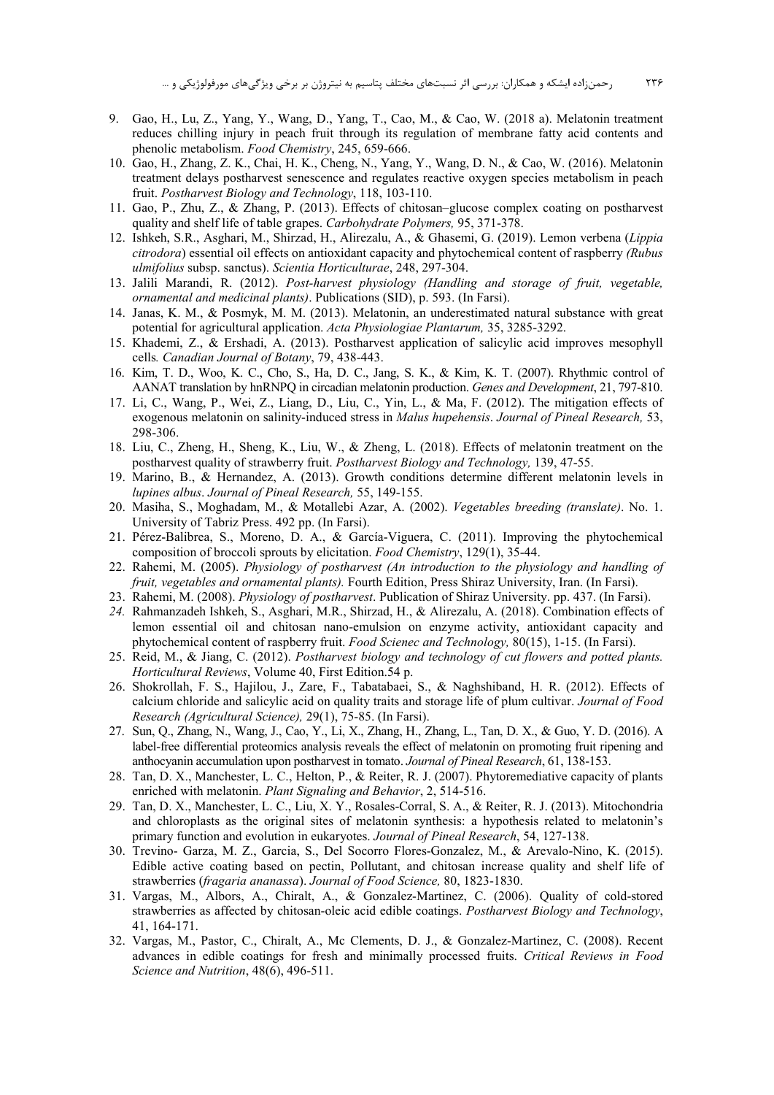- 9. Gao, H., Lu, Z., Yang, Y., Wang, D., Yang, T., Cao, M., & Cao, W. (2018 a). Melatonin treatment reduces chilling injury in peach fruit through its regulation of membrane fatty acid contents and phenolic metabolism. *Food Chemistry*, 245, 659-666.
- 10. Gao, H., Zhang, Z. K., Chai, H. K., Cheng, N., Yang, Y., Wang, D. N., & Cao, W. (2016). Melatonin treatment delays postharvest senescence and regulates reactive oxygen species metabolism in peach fruit. *Postharvest Biology and Technology*, 118, 103-110.
- 11. Gao, P., Zhu, Z., & Zhang, P. (2013). Effects of chitosan–glucose complex coating on postharvest quality and shelf life of table grapes. *Carbohydrate Polymers,* 95, 371-378.
- 12. Ishkeh, S.R., Asghari, M., Shirzad, H., Alirezalu, A., & Ghasemi, G. (2019). Lemon verbena (*Lippia citrodora*) essential oil effects on antioxidant capacity and phytochemical content of raspberry *(Rubus ulmifolius* subsp. sanctus). *Scientia Horticulturae*, 248, 297-304.
- 13. Jalili Marandi, R. (2012). *Post-harvest physiology (Handling and storage of fruit, vegetable, ornamental and medicinal plants)*. Publications (SID), p. 593. (In Farsi).
- 14. Janas, K. M., & Posmyk, M. M. (2013). Melatonin, an underestimated natural substance with great potential for agricultural application. *Acta Physiologiae Plantarum,* 35, 3285-3292.
- 15. Khademi, Z., & Ershadi, A. (2013). Postharvest application of salicylic acid improves mesophyll cells*. Canadian Journal of Botany*, 79, 438-443.
- 16. Kim, T. D., Woo, K. C., Cho, S., Ha, D. C., Jang, S. K., & Kim, K. T. (2007). Rhythmic control of AANAT translation by hnRNPQ in circadian melatonin production. *Genes and Development*, 21, 797-810.
- 17. Li, C., Wang, P., Wei, Z., Liang, D., Liu, C., Yin, L., & Ma, F. (2012). The mitigation effects of exogenous melatonin on salinity‐induced stress in *Malus hupehensis*. *Journal of Pineal Research,* 53, 298-306.
- 18. Liu, C., Zheng, H., Sheng, K., Liu, W., & Zheng, L. (2018). Effects of melatonin treatment on the postharvest quality of strawberry fruit. *Postharvest Biology and Technology,* 139, 47-55.
- 19. Marino, B., & Hernandez, A. (2013). Growth conditions determine different melatonin levels in *lupines albus*. *Journal of Pineal Research,* 55, 149-155.
- 20. Masiha, S., Moghadam, M., & Motallebi Azar, A. (2002). *Vegetables breeding (translate)*. No. 1. University of Tabriz Press. 492 pp. (In Farsi).
- 21. Pérez-Balibrea, S., Moreno, D. A., & García-Viguera, C. (2011). Improving the phytochemical composition of broccoli sprouts by elicitation. *Food Chemistry*, 129(1), 35-44.
- 22. Rahemi, M. (2005). *Physiology of postharvest (An introduction to the physiology and handling of fruit, vegetables and ornamental plants).* Fourth Edition, Press Shiraz University, Iran. (In Farsi).
- 23. Rahemi, M. (2008). *Physiology of postharvest*. Publication of Shiraz University. pp. 437. (In Farsi).
- *24.* Rahmanzadeh Ishkeh, S., Asghari, M.R., Shirzad, H., & Alirezalu, A. (2018). Combination effects of lemon essential oil and chitosan nano-emulsion on enzyme activity, antioxidant capacity and phytochemical content of raspberry fruit. *Food Scienec and Technology,* 80(15), 1-15. (In Farsi).
- 25. Reid, M., & Jiang, C. (2012). *Postharvest biology and technology of cut flowers and potted plants. Horticultural Reviews*, Volume 40, First Edition.54 p.
- 26. Shokrollah, F. S., Hajilou, J., Zare, F., Tabatabaei, S., & Naghshiband, H. R. (2012). Effects of calcium chloride and salicylic acid on quality traits and storage life of plum cultivar. *Journal of Food Research (Agricultural Science),* 29(1), 75-85. (In Farsi).
- 27. Sun, Q., Zhang, N., Wang, J., Cao, Y., Li, X., Zhang, H., Zhang, L., Tan, D. X., & Guo, Y. D. (2016). A label-free differential proteomics analysis reveals the effect of melatonin on promoting fruit ripening and anthocyanin accumulation upon postharvest in tomato. *Journal of Pineal Research*, 61, 138-153.
- 28. Tan, D. X., Manchester, L. C., Helton, P., & Reiter, R. J. (2007). Phytoremediative capacity of plants enriched with melatonin. *Plant Signaling and Behavior*, 2, 514-516.
- 29. Tan, D. X., Manchester, L. C., Liu, X. Y., Rosales-Corral, S. A., & Reiter, R. J. (2013). Mitochondria and chloroplasts as the original sites of melatonin synthesis: a hypothesis related to melatonin's primary function and evolution in eukaryotes. *Journal of Pineal Research*, 54, 127-138.
- 30. Trevino- Garza, M. Z., Garcia, S., Del Socorro Flores-Gonzalez, M., & Arevalo-Nino, K. (2015). Edible active coating based on pectin, Pollutant, and chitosan increase quality and shelf life of strawberries (*fragaria ananassa*). *Journal of Food Science,* 80, 1823-1830.
- 31. Vargas, M., Albors, A., Chiralt, A., & Gonzalez-Martinez, C. (2006). Quality of cold-stored strawberries as affected by chitosan-oleic acid edible coatings. *Postharvest Biology and Technology*, 41, 164-171.
- 32. Vargas, M., Pastor, C., Chiralt, A., Mc Clements, D. J., & Gonzalez-Martinez, C. (2008). Recent advances in edible coatings for fresh and minimally processed fruits. *Critical Reviews in Food Science and Nutrition*, 48(6), 496-511.